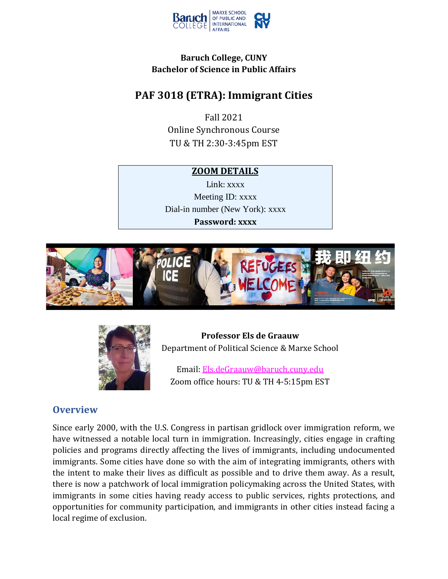

### **Baruch College, CUNY Bachelor of Science in Public Affairs**

# **PAF 3018 (ETRA): Immigrant Cities**

Fall 2021 Online Synchronous Course TU & TH 2:30-3:45pm EST

### **ZOOM DETAILS**

Link: [x](https://baruch.zoom.us/j/7700770038)[xxx](https://baruch.zoom.us/j/7700770038) Meeting ID: xxxx Dial-in number (New York): xxxx **Password: xxxx**





**Professor Els de Graauw** Department of Political Science & Marxe School

Email: [Els.deGraauw@baruch.cuny.edu](mailto:Els.deGraauw@baruch.cuny.edu) Zoom office hours: TU & TH 4-5:15pm EST

## **Overview**

Since early 2000, with the U.S. Congress in partisan gridlock over immigration reform, we have witnessed a notable local turn in immigration. Increasingly, cities engage in crafting policies and programs directly affecting the lives of immigrants, including undocumented immigrants. Some cities have done so with the aim of integrating immigrants, others with the intent to make their lives as difficult as possible and to drive them away. As a result, there is now a patchwork of local immigration policymaking across the United States, with immigrants in some cities having ready access to public services, rights protections, and opportunities for community participation, and immigrants in other cities instead facing a local regime of exclusion.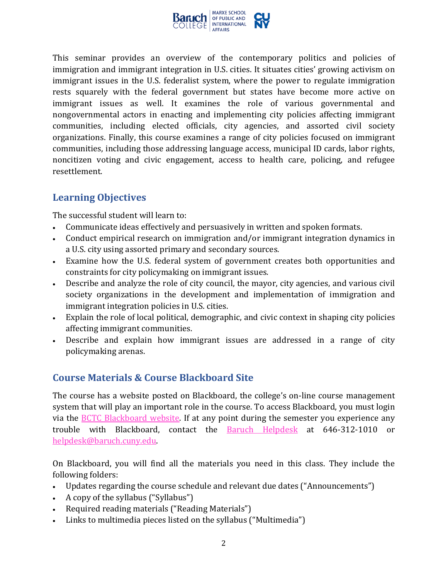

This seminar provides an overview of the contemporary politics and policies of immigration and immigrant integration in U.S. cities. It situates cities' growing activism on immigrant issues in the U.S. federalist system, where the power to regulate immigration rests squarely with the federal government but states have become more active on immigrant issues as well. It examines the role of various governmental and nongovernmental actors in enacting and implementing city policies affecting immigrant communities, including elected officials, city agencies, and assorted civil society organizations. Finally, this course examines a range of city policies focused on immigrant communities, including those addressing language access, municipal ID cards, labor rights, noncitizen voting and civic engagement, access to health care, policing, and refugee resettlement.

# **Learning Objectives**

The successful student will learn to:

- Communicate ideas effectively and persuasively in written and spoken formats.
- Conduct empirical research on immigration and/or immigrant integration dynamics in a U.S. city using assorted primary and secondary sources.
- Examine how the U.S. federal system of government creates both opportunities and constraints for city policymaking on immigrant issues.
- Describe and analyze the role of city council, the mayor, city agencies, and various civil society organizations in the development and implementation of immigration and immigrant integration policies in U.S. cities.
- Explain the role of local political, demographic, and civic context in shaping city policies affecting immigrant communities.
- Describe and explain how immigrant issues are addressed in a range of city policymaking arenas.

## **Course Materials & Course Blackboard Site**

The course has a website posted on Blackboard, the college's on-line course management system that will play an important role in the course. To access Blackboard, you must login via the [BCTC Blackboard website.](https://www.baruch.cuny.edu/bctc/blackboard/) If at any point during the semester you experience any trouble with Blackboard, contact the [Baruch Helpdesk](https://www.baruch.cuny.edu/bctc/helpdesk/) at 646-312-1010 or [helpdesk@baruch.cuny.edu.](mailto:helpdesk@baruch.cuny.edu)

On Blackboard, you will find all the materials you need in this class. They include the following folders:

- Updates regarding the course schedule and relevant due dates ("Announcements")
- A copy of the syllabus ("Syllabus")
- Required reading materials ("Reading Materials")
- Links to multimedia pieces listed on the syllabus ("Multimedia")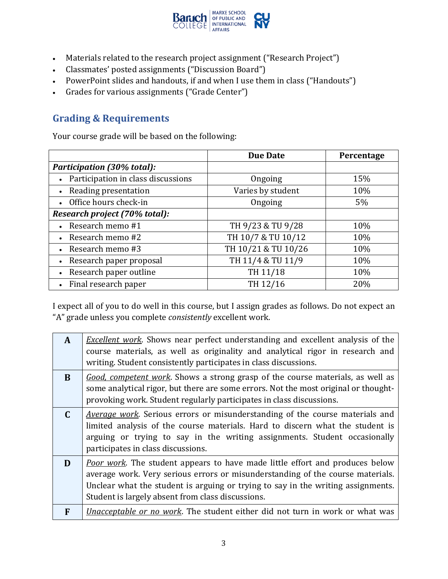

- Materials related to the research project assignment ("Research Project")
- Classmates' posted assignments ("Discussion Board")
- PowerPoint slides and handouts, if and when I use them in class ("Handouts")
- Grades for various assignments ("Grade Center")

# **Grading & Requirements**

Your course grade will be based on the following:

|                                      | <b>Due Date</b>     | Percentage |
|--------------------------------------|---------------------|------------|
| <b>Participation (30% total):</b>    |                     |            |
| Participation in class discussions   | Ongoing             | 15%        |
| Reading presentation                 | Varies by student   | 10%        |
| • Office hours check-in              | Ongoing             | 5%         |
| Research project (70% total):        |                     |            |
| Research memo #1                     | TH 9/23 & TU 9/28   | 10%        |
| Research memo #2                     | TH 10/7 & TU 10/12  | 10%        |
| • Research memo $#3$                 | TH 10/21 & TU 10/26 | 10%        |
| Research paper proposal<br>$\bullet$ | TH 11/4 & TU 11/9   | 10%        |
| Research paper outline<br>$\bullet$  | TH 11/18            | 10%        |
| Final research paper                 | TH 12/16            | 20%        |

I expect all of you to do well in this course, but I assign grades as follows. Do not expect an "A" grade unless you complete *consistently* excellent work.

| A            | <i>Excellent work</i> . Shows near perfect understanding and excellent analysis of the<br>course materials, as well as originality and analytical rigor in research and<br>writing. Student consistently participates in class discussions.                                                                    |
|--------------|----------------------------------------------------------------------------------------------------------------------------------------------------------------------------------------------------------------------------------------------------------------------------------------------------------------|
| <sub>B</sub> | <i>Good, competent work</i> . Shows a strong grasp of the course materials, as well as<br>some analytical rigor, but there are some errors. Not the most original or thought-<br>provoking work. Student regularly participates in class discussions.                                                          |
| $\mathbf{C}$ | <i>Average work</i> . Serious errors or misunderstanding of the course materials and<br>limited analysis of the course materials. Hard to discern what the student is<br>arguing or trying to say in the writing assignments. Student occasionally<br>participates in class discussions.                       |
| D            | <b>Poor work.</b> The student appears to have made little effort and produces below<br>average work. Very serious errors or misunderstanding of the course materials.<br>Unclear what the student is arguing or trying to say in the writing assignments.<br>Student is largely absent from class discussions. |
| F            | <i>Unacceptable or no work</i> . The student either did not turn in work or what was                                                                                                                                                                                                                           |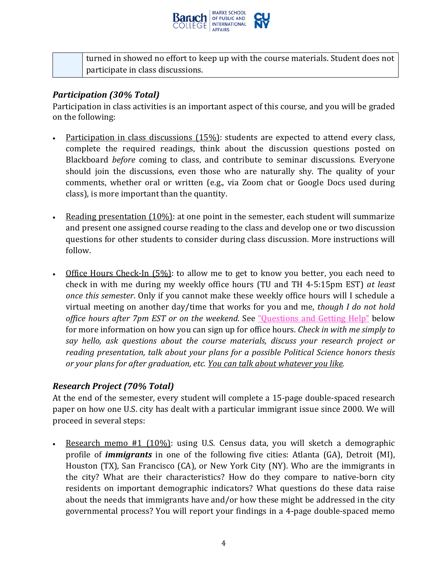

turned in showed no effort to keep up with the course materials. Student does not participate in class discussions.

#### *Participation (30% Total)*

Participation in class activities is an important aspect of this course, and you will be graded on the following:

- Participation in class discussions (15%): students are expected to attend every class, complete the required readings, think about the discussion questions posted on Blackboard *before* coming to class, and contribute to seminar discussions. Everyone should join the discussions, even those who are naturally shy. The quality of your comments, whether oral or written (e.g., via Zoom chat or Google Docs used during class), is more important than the quantity.
- Reading presentation  $(10\%)$ : at one point in the semester, each student will summarize and present one assigned course reading to the class and develop one or two discussion questions for other students to consider during class discussion. More instructions will follow.
- Office Hours Check-In (5%): to allow me to get to know you better, you each need to check in with me during my weekly office hours (TU and TH 4-5:15pm EST) *at least once this semester*. Only if you cannot make these weekly office hours will I schedule a virtual meeting on another day/time that works for you and me, *though I do not hold office hours after 7pm EST or on the weekend*. See ["Questions and Getting Help"](#page-5-0) below for more information on how you can sign up for office hours. *Check in with me simply to say hello, ask questions about the course materials, discuss your research project or reading presentation, talk about your plans for a possible Political Science honors thesis or your plans for after graduation, etc. You can talk about whatever you like.*

### *Research Project (70% Total)*

At the end of the semester, every student will complete a 15-page double-spaced research paper on how one U.S. city has dealt with a particular immigrant issue since 2000. We will proceed in several steps:

• Research memo #1 (10%): using U.S. Census data, you will sketch a demographic profile of *immigrants* in one of the following five cities: Atlanta (GA), Detroit (MI), Houston (TX), San Francisco (CA), or New York City (NY). Who are the immigrants in the city? What are their characteristics? How do they compare to native-born city residents on important demographic indicators? What questions do these data raise about the needs that immigrants have and/or how these might be addressed in the city governmental process? You will report your findings in a 4-page double-spaced memo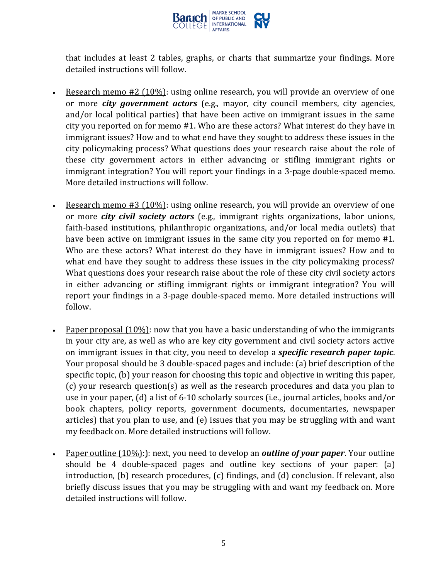

that includes at least 2 tables, graphs, or charts that summarize your findings. More detailed instructions will follow.

- Research memo #2 (10%): using online research, you will provide an overview of one or more *city government actors* (e.g., mayor, city council members, city agencies, and/or local political parties) that have been active on immigrant issues in the same city you reported on for memo #1. Who are these actors? What interest do they have in immigrant issues? How and to what end have they sought to address these issues in the city policymaking process? What questions does your research raise about the role of these city government actors in either advancing or stifling immigrant rights or immigrant integration? You will report your findings in a 3-page double-spaced memo. More detailed instructions will follow.
- Research memo #3 (10%): using online research, you will provide an overview of one or more *city civil society actors* (e.g., immigrant rights organizations, labor unions, faith-based institutions, philanthropic organizations, and/or local media outlets) that have been active on immigrant issues in the same city you reported on for memo #1. Who are these actors? What interest do they have in immigrant issues? How and to what end have they sought to address these issues in the city policymaking process? What questions does your research raise about the role of these city civil society actors in either advancing or stifling immigrant rights or immigrant integration? You will report your findings in a 3-page double-spaced memo. More detailed instructions will follow.
- Paper proposal (10%): now that you have a basic understanding of who the immigrants in your city are, as well as who are key city government and civil society actors active on immigrant issues in that city, you need to develop a *specific research paper topic*. Your proposal should be 3 double-spaced pages and include: (a) brief description of the specific topic, (b) your reason for choosing this topic and objective in writing this paper, (c) your research question(s) as well as the research procedures and data you plan to use in your paper, (d) a list of 6-10 scholarly sources (i.e., journal articles, books and/or book chapters, policy reports, government documents, documentaries, newspaper articles) that you plan to use, and (e) issues that you may be struggling with and want my feedback on. More detailed instructions will follow.
- Paper outline (10%):): next, you need to develop an *outline of your paper*. Your outline should be 4 double-spaced pages and outline key sections of your paper: (a) introduction, (b) research procedures, (c) findings, and (d) conclusion. If relevant, also briefly discuss issues that you may be struggling with and want my feedback on. More detailed instructions will follow.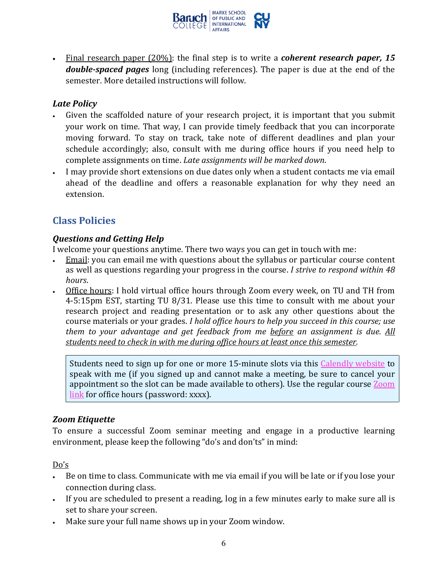

• Final research paper (20%): the final step is to write a *coherent research paper, 15 double-spaced pages* long (including references). The paper is due at the end of the semester. More detailed instructions will follow.

### *Late Policy*

- Given the scaffolded nature of your research project, it is important that you submit your work on time. That way, I can provide timely feedback that you can incorporate moving forward. To stay on track, take note of different deadlines and plan your schedule accordingly; also, consult with me during office hours if you need help to complete assignments on time. *Late assignments will be marked down*.
- I may provide short extensions on due dates only when a student contacts me via email ahead of the deadline and offers a reasonable explanation for why they need an extension.

# **Class Policies**

### <span id="page-5-0"></span>*Questions and Getting Help*

I welcome your questions anytime. There two ways you can get in touch with me:

- Email: you can email me with questions about the syllabus or particular course content as well as questions regarding your progress in the course. *I strive to respond within 48 hours*.
- Office hours: I hold virtual office hours through Zoom every week, on TU and TH from 4-5:15pm EST, starting TU 8/31. Please use this time to consult with me about your research project and reading presentation or to ask any other questions about the course materials or your grades. *I hold office hours to help you succeed in this course; use them to your advantage and get feedback from me before an assignment is due. All students need to check in with me during office hours at least once this semester.*

Students need to sign up for one or more 15-minute slots via this Calendly website to speak with me (if you signed up and cannot make a meeting, be sure to cancel your appointment so the slot can be made available to others). Use the regular course  $Zoom$ link for office hours (password: xxxx).

### *Zoom Etiquette*

To ensure a successful Zoom seminar meeting and engage in a productive learning environment, please keep the following "do's and don'ts" in mind:

Do's

- Be on time to class. Communicate with me via email if you will be late or if you lose your connection during class.
- If you are scheduled to present a reading, log in a few minutes early to make sure all is set to share your screen.
- Make sure your full name shows up in your Zoom window.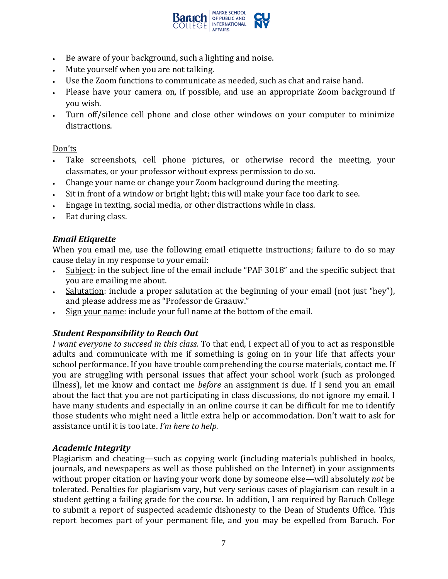

- Be aware of your background, such a lighting and noise.
- Mute yourself when you are not talking.
- Use the Zoom functions to communicate as needed, such as chat and raise hand.
- Please have your camera on, if possible, and use an appropriate Zoom background if you wish.
- Turn off/silence cell phone and close other windows on your computer to minimize distractions.

#### Don'ts

- Take screenshots, cell phone pictures, or otherwise record the meeting, your classmates, or your professor without express permission to do so.
- Change your name or change your Zoom background during the meeting.
- Sit in front of a window or bright light; this will make your face too dark to see.
- Engage in texting, social media, or other distractions while in class.
- Eat during class.

### *Email Etiquette*

When you email me, use the following email etiquette instructions; failure to do so may cause delay in my response to your email:

- Subject: in the subject line of the email include "PAF 3018" and the specific subject that you are emailing me about.
- Salutation: include a proper salutation at the beginning of your email (not just "hey"), and please address me as "Professor de Graauw."
- Sign your name: include your full name at the bottom of the email.

## *Student Responsibility to Reach Out*

*I want everyone to succeed in this class.* To that end, I expect all of you to act as responsible adults and communicate with me if something is going on in your life that affects your school performance. If you have trouble comprehending the course materials, contact me. If you are struggling with personal issues that affect your school work (such as prolonged illness), let me know and contact me *before* an assignment is due. If I send you an email about the fact that you are not participating in class discussions, do not ignore my email. I have many students and especially in an online course it can be difficult for me to identify those students who might need a little extra help or accommodation. Don't wait to ask for assistance until it is too late. *I'm here to help.*

### *Academic Integrity*

Plagiarism and cheating—such as copying work (including materials published in books, journals, and newspapers as well as those published on the Internet) in your assignments without proper citation or having your work done by someone else—will absolutely *not* be tolerated. Penalties for plagiarism vary, but very serious cases of plagiarism can result in a student getting a failing grade for the course. In addition, I am required by Baruch College to submit a report of suspected academic dishonesty to the Dean of Students Office. This report becomes part of your permanent file, and you may be expelled from Baruch. For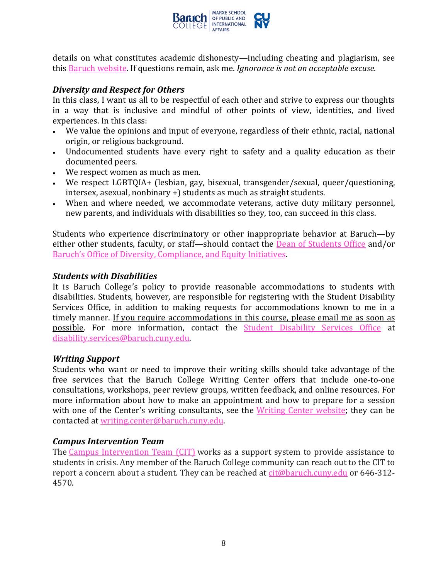

details on what constitutes academic dishonesty—including cheating and plagiarism, see this [Baruch website.](https://www.baruch.cuny.edu/academic/academic_honesty.html) If questions remain, ask me. *Ignorance is not an acceptable excuse.*

#### *Diversity and Respect for Others*

In this class, I want us all to be respectful of each other and strive to express our thoughts in a way that is inclusive and mindful of other points of view, identities, and lived experiences. In this class:

- We value the opinions and input of everyone, regardless of their ethnic, racial, national origin, or religious background.
- Undocumented students have every right to safety and a quality education as their documented peers.
- We respect women as much as men.
- We respect LGBTQIA+ (lesbian, gay, bisexual, transgender/sexual, queer/questioning, intersex, asexual, nonbinary +) students as much as straight students.
- When and where needed, we accommodate veterans, active duty military personnel, new parents, and individuals with disabilities so they, too, can succeed in this class.

Students who experience discriminatory or other inappropriate behavior at Baruch—by either other students, faculty, or staff—should contact the **Dean of Students Office and/or** [Baruch's Office of Diversity, Compliance, and Equity Initiatives.](https://president.baruch.cuny.edu/office-of-diversity/)

#### *Students with Disabilities*

It is Baruch College's policy to provide reasonable accommodations to students with disabilities. Students, however, are responsible for registering with the Student Disability Services Office, in addition to making requests for accommodations known to me in a timely manner. If you require accommodations in this course, please email me as soon as possible. For more information, contact the [Student Disability Services Office](https://studentaffairs.baruch.cuny.edu/student-disability-services/) at [disability.services@baruch.cuny.edu.](mailto:disability.services@baruch.cuny.edu)

#### *Writing Support*

Students who want or need to improve their writing skills should take advantage of the free services that the Baruch College Writing Center offers that include one-to-one consultations, workshops, peer review groups, written feedback, and online resources. For more information about how to make an appointment and how to prepare for a session with one of the Center's writing consultants, see the [Writing Center website;](https://writingcenter.baruch.cuny.edu/) they can be contacted at [writing.center@baruch.cuny.edu.](mailto:writing.center@baruch.cuny.edu)

#### *Campus Intervention Team*

The [Campus Intervention Team \(CIT\)](https://studentaffairs.baruch.cuny.edu/campus-intervention-team/) works as a support system to provide assistance to students in crisis. Any member of the Baruch College community can reach out to the CIT to report a concern about a student. They can be reached at [cit@baruch.cuny.edu](mailto:cit@baruch.cuny.edu) or 646-312- 4570.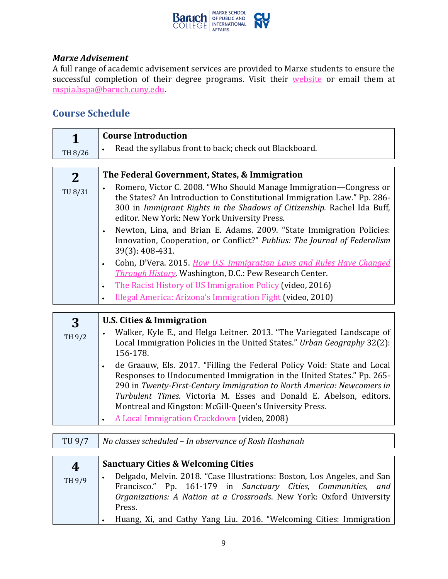

#### *Marxe Advisement*

A full range of academic advisement services are provided to Marxe students to ensure the successful completion of their degree programs. Visit their [website](https://marxe.baruch.cuny.edu/academics/marxe-advisement/) or email them at [mspia.bspa@baruch.cuny.edu.](mailto:mspia.bspa@baruch.cuny.edu)

## **Course Schedule**

| TH 8/26      | <b>Course Introduction</b><br>Read the syllabus front to back; check out Blackboard.                                                                                                                                                                                                                                                                                                                                                                                                                                                                                                                                                                                                                                                                                                                           |
|--------------|----------------------------------------------------------------------------------------------------------------------------------------------------------------------------------------------------------------------------------------------------------------------------------------------------------------------------------------------------------------------------------------------------------------------------------------------------------------------------------------------------------------------------------------------------------------------------------------------------------------------------------------------------------------------------------------------------------------------------------------------------------------------------------------------------------------|
| 2<br>TU 8/31 | The Federal Government, States, & Immigration<br>Romero, Victor C. 2008. "Who Should Manage Immigration—Congress or<br>the States? An Introduction to Constitutional Immigration Law." Pp. 286-<br>300 in Immigrant Rights in the Shadows of Citizenship. Rachel Ida Buff,<br>editor. New York: New York University Press.<br>Newton, Lina, and Brian E. Adams. 2009. "State Immigration Policies:<br>$\bullet$<br>Innovation, Cooperation, or Conflict?" Publius: The Journal of Federalism<br>39(3): 408-431.<br>Cohn, D'Vera. 2015. How U.S. Immigration Laws and Rules Have Changed<br>$\bullet$<br><b>Through History.</b> Washington, D.C.: Pew Research Center.<br>The Racist History of US Immigration Policy (video, 2016)<br>$\bullet$<br>Illegal America: Arizona's Immigration Fight (video, 2010) |

| 3      | <b>U.S. Cities &amp; Immigration</b>                                                                                                                                                                                                                                                                                                                        |
|--------|-------------------------------------------------------------------------------------------------------------------------------------------------------------------------------------------------------------------------------------------------------------------------------------------------------------------------------------------------------------|
| TH 9/2 | Walker, Kyle E., and Helga Leitner. 2013. "The Variegated Landscape of<br>Local Immigration Policies in the United States." Urban Geography 32(2):<br>156-178.                                                                                                                                                                                              |
|        | de Graauw, Els. 2017. "Filling the Federal Policy Void: State and Local<br>Responses to Undocumented Immigration in the United States." Pp. 265-<br>290 in Twenty-First-Century Immigration to North America: Newcomers in<br>Turbulent Times. Victoria M. Esses and Donald E. Abelson, editors.<br>Montreal and Kingston: McGill-Queen's University Press. |
|        | A Local Immigration Crackdown (video, 2008)                                                                                                                                                                                                                                                                                                                 |

TU 9/7 *No classes scheduled – In observance of Rosh Hashanah*

| 4      | <b>Sanctuary Cities &amp; Welcoming Cities</b>                                                                                                                                                                              |
|--------|-----------------------------------------------------------------------------------------------------------------------------------------------------------------------------------------------------------------------------|
| TH 9/9 | Delgado, Melvin. 2018. "Case Illustrations: Boston, Los Angeles, and San<br>Francisco." Pp. 161-179 in Sanctuary Cities, Communities, and<br>Organizations: A Nation at a Crossroads. New York: Oxford University<br>Press. |
|        | Huang, Xi, and Cathy Yang Liu. 2016. "Welcoming Cities: Immigration                                                                                                                                                         |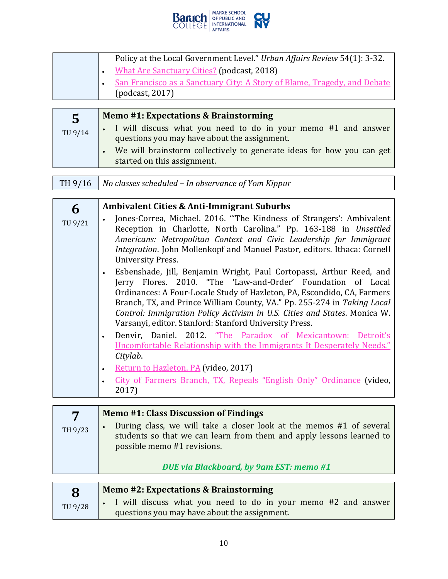

| Policy at the Local Government Level." Urban Affairs Review 54(1): 3-32. |
|--------------------------------------------------------------------------|
| • What Are Sanctuary Cities? (podcast, 2018)                             |
| San Francisco as a Sanctuary City: A Story of Blame, Tragedy, and Debate |
| (podcast, 2017)                                                          |

| 5       | Memo #1: Expectations & Brainstorming                                                                           |
|---------|-----------------------------------------------------------------------------------------------------------------|
| TU 9/14 | • I will discuss what you need to do in your memo #1 and answer<br>questions you may have about the assignment. |
|         | We will brainstorm collectively to generate ideas for how you can get<br>started on this assignment.            |

|  | TH $9/16$ No classes scheduled – In observance of Yom Kippur |
|--|--------------------------------------------------------------|
|--|--------------------------------------------------------------|

| 6       | <b>Ambivalent Cities &amp; Anti-Immigrant Suburbs</b>                                                                                                                                                                                                                                                                                                                                                                             |
|---------|-----------------------------------------------------------------------------------------------------------------------------------------------------------------------------------------------------------------------------------------------------------------------------------------------------------------------------------------------------------------------------------------------------------------------------------|
| TU 9/21 | Jones-Correa, Michael. 2016. "The Kindness of Strangers': Ambivalent<br>Reception in Charlotte, North Carolina." Pp. 163-188 in Unsettled<br>Americans: Metropolitan Context and Civic Leadership for Immigrant<br><i>Integration</i> . John Mollenkopf and Manuel Pastor, editors. Ithaca: Cornell<br><b>University Press.</b>                                                                                                   |
|         | Esbenshade, Jill, Benjamin Wright, Paul Cortopassi, Arthur Reed, and<br>Jerry Flores. 2010. "The 'Law-and-Order' Foundation of Local<br>Ordinances: A Four-Locale Study of Hazleton, PA, Escondido, CA, Farmers<br>Branch, TX, and Prince William County, VA." Pp. 255-274 in Taking Local<br>Control: Immigration Policy Activism in U.S. Cities and States. Monica W.<br>Varsanyi, editor. Stanford: Stanford University Press. |
|         | Denvir, Daniel. 2012. "The Paradox of Mexicantown: Detroit's<br>Uncomfortable Relationship with the Immigrants It Desperately Needs."<br>Citylab.                                                                                                                                                                                                                                                                                 |
|         | Return to Hazleton, PA (video, 2017)<br>$\bullet$<br>City of Farmers Branch, TX, Repeals "English Only" Ordinance (video,<br>2017)                                                                                                                                                                                                                                                                                                |

| 7       | <b>Memo #1: Class Discussion of Findings</b>                                                                                                                               |
|---------|----------------------------------------------------------------------------------------------------------------------------------------------------------------------------|
| TH 9/23 | During class, we will take a closer look at the memos #1 of several<br>students so that we can learn from them and apply lessons learned to<br>possible memo #1 revisions. |
|         | DUE via Blackboard, by 9am EST: memo #1                                                                                                                                    |

| 8       | <b>Memo #2: Expectations &amp; Brainstorming</b>                |
|---------|-----------------------------------------------------------------|
| TU 9/28 | . I will discuss what you need to do in your memo #2 and answer |
|         | questions you may have about the assignment.                    |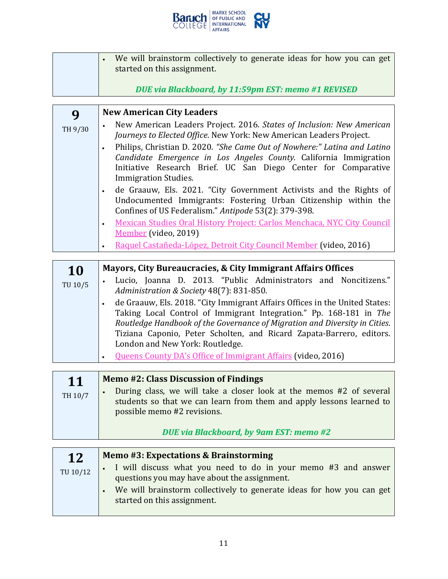

| We will brainstorm collectively to generate ideas for how you can get<br>started on this assignment.<br>DUE via Blackboard, by 11:59pm EST: memo #1 REVISED |
|-------------------------------------------------------------------------------------------------------------------------------------------------------------|
|                                                                                                                                                             |
|                                                                                                                                                             |

| 9       | <b>New American City Leaders</b>                                                                                                                                                                                                               |  |  |  |  |  |  |  |  |  |
|---------|------------------------------------------------------------------------------------------------------------------------------------------------------------------------------------------------------------------------------------------------|--|--|--|--|--|--|--|--|--|
| TH 9/30 | New American Leaders Project. 2016. States of Inclusion: New American<br>Journeys to Elected Office. New York: New American Leaders Project.                                                                                                   |  |  |  |  |  |  |  |  |  |
|         | Philips, Christian D. 2020. "She Came Out of Nowhere:" Latina and Latino<br>Candidate Emergence in Los Angeles County. California Immigration<br>Initiative Research Brief. UC San Diego Center for Comparative<br><b>Immigration Studies.</b> |  |  |  |  |  |  |  |  |  |
|         | de Graauw, Els. 2021. "City Government Activists and the Rights of<br>Undocumented Immigrants: Fostering Urban Citizenship within the<br>Confines of US Federalism." Antipode 53(2): 379-398.                                                  |  |  |  |  |  |  |  |  |  |
|         | Mexican Studies Oral History Project: Carlos Menchaca, NYC City Council<br>Member (video, 2019)                                                                                                                                                |  |  |  |  |  |  |  |  |  |
|         | Raquel Castañeda-López, Detroit City Council Member (video, 2016)                                                                                                                                                                              |  |  |  |  |  |  |  |  |  |

| <b>10</b> | Mayors, City Bureaucracies, & City Immigrant Affairs Offices                                                                                                                                                                                                                                                                               |
|-----------|--------------------------------------------------------------------------------------------------------------------------------------------------------------------------------------------------------------------------------------------------------------------------------------------------------------------------------------------|
| TU 10/5   | Lucio, Joanna D. 2013. "Public Administrators and Noncitizens."<br>Administration & Society 48(7): 831-850.                                                                                                                                                                                                                                |
|           | de Graauw, Els. 2018. "City Immigrant Affairs Offices in the United States:<br>Taking Local Control of Immigrant Integration." Pp. 168-181 in The<br>Routledge Handbook of the Governance of Migration and Diversity in Cities.<br>Tiziana Caponio, Peter Scholten, and Ricard Zapata-Barrero, editors.<br>London and New York: Routledge. |
|           | <b>Queens County DA's Office of Immigrant Affairs (video, 2016)</b>                                                                                                                                                                                                                                                                        |

| 11      | <b>Memo #2: Class Discussion of Findings</b>                                                                                                                               |
|---------|----------------------------------------------------------------------------------------------------------------------------------------------------------------------------|
| TH 10/7 | During class, we will take a closer look at the memos #2 of several<br>students so that we can learn from them and apply lessons learned to<br>possible memo #2 revisions. |
|         | DUE via Blackboard, by 9am EST: memo #2                                                                                                                                    |

| 12       | Memo #3: Expectations & Brainstorming                                                                           |
|----------|-----------------------------------------------------------------------------------------------------------------|
| TU 10/12 | • I will discuss what you need to do in your memo #3 and answer<br>questions you may have about the assignment. |
|          | We will brainstorm collectively to generate ideas for how you can get<br>started on this assignment.            |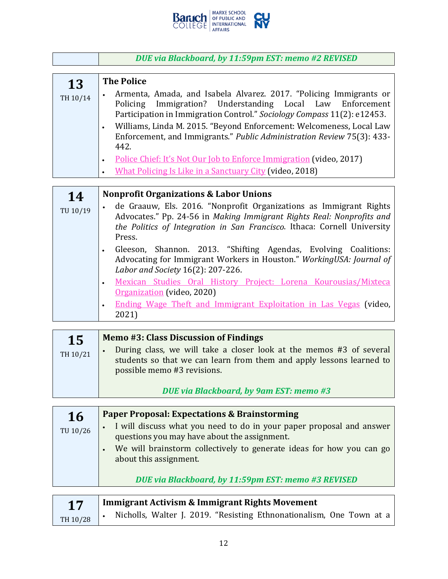

|                | DUE via Blackboard, by 11:59pm EST: memo #2 REVISED                                                                                                                                                                                                                                                                                                                                                                                                                                                                                                                                                                                                                                          |
|----------------|----------------------------------------------------------------------------------------------------------------------------------------------------------------------------------------------------------------------------------------------------------------------------------------------------------------------------------------------------------------------------------------------------------------------------------------------------------------------------------------------------------------------------------------------------------------------------------------------------------------------------------------------------------------------------------------------|
|                |                                                                                                                                                                                                                                                                                                                                                                                                                                                                                                                                                                                                                                                                                              |
| 13<br>TH 10/14 | <b>The Police</b><br>Armenta, Amada, and Isabela Alvarez. 2017. "Policing Immigrants or<br>Policing Immigration? Understanding Local Law<br>Enforcement<br>Participation in Immigration Control." Sociology Compass 11(2): e12453.<br>Williams, Linda M. 2015. "Beyond Enforcement: Welcomeness, Local Law<br>$\bullet$<br>Enforcement, and Immigrants." Public Administration Review 75(3): 433-<br>442.<br>Police Chief: It's Not Our Job to Enforce Immigration (video, 2017)<br>$\bullet$<br>What Policing Is Like in a Sanctuary City (video, 2018)<br>$\bullet$                                                                                                                        |
|                |                                                                                                                                                                                                                                                                                                                                                                                                                                                                                                                                                                                                                                                                                              |
| 14<br>TU 10/19 | <b>Nonprofit Organizations &amp; Labor Unions</b><br>de Graauw, Els. 2016. "Nonprofit Organizations as Immigrant Rights<br>Advocates." Pp. 24-56 in Making Immigrant Rights Real: Nonprofits and<br>the Politics of Integration in San Francisco. Ithaca: Cornell University<br>Press.<br>Gleeson, Shannon. 2013. "Shifting Agendas, Evolving Coalitions:<br>$\bullet$<br>Advocating for Immigrant Workers in Houston." WorkingUSA: Journal of<br>Labor and Society 16(2): 207-226.<br>Mexican Studies Oral History Project: Lorena Kourousias/Mixteca<br>$\bullet$<br>Organization (video, 2020)<br>Ending Wage Theft and Immigrant Exploitation in Las Vegas (video,<br>$\bullet$<br>2021) |
|                |                                                                                                                                                                                                                                                                                                                                                                                                                                                                                                                                                                                                                                                                                              |
| 15             | <b>Memo #3: Class Discussion of Findings</b><br><b>Contract the Contract of the Contract of Contract Contract of Contract Contract Contract On the Contract On T</b>                                                                                                                                                                                                                                                                                                                                                                                                                                                                                                                         |

*DUE via Blackboard, by 9am EST: memo #3*

| <b>16</b> | <b>Paper Proposal: Expectations &amp; Brainstorming</b>                                                                                                                                                                                                                                                                                                                  |
|-----------|--------------------------------------------------------------------------------------------------------------------------------------------------------------------------------------------------------------------------------------------------------------------------------------------------------------------------------------------------------------------------|
| TU 10/26  | I will discuss what you need to do in your paper proposal and answer<br>questions you may have about the assignment.                                                                                                                                                                                                                                                     |
|           | We will brainstorm collectively to generate ideas for how you can go<br>about this assignment.                                                                                                                                                                                                                                                                           |
|           | DUE via Blackboard, by 11:59pm EST: memo #3 REVISED                                                                                                                                                                                                                                                                                                                      |
| 17        | <b>Immigrant Activism &amp; Immigrant Rights Movement</b><br>$\mathbf{v}$ , $\mathbf{v}$ , $\mathbf{v}$ , $\mathbf{v}$ , $\mathbf{v}$ , $\mathbf{v}$ , $\mathbf{v}$ , $\mathbf{v}$ , $\mathbf{v}$ , $\mathbf{v}$ , $\mathbf{v}$ , $\mathbf{v}$ , $\mathbf{v}$ , $\mathbf{v}$ , $\mathbf{v}$ , $\mathbf{v}$ , $\mathbf{v}$ , $\mathbf{v}$ , $\mathbf{v}$ , $\mathbf{v}$ , |

| TH 10/28 |  |  | Nicholls, Walter J. 2019. "Resisting Ethnonationalism, One Town at a |  |  |
|----------|--|--|----------------------------------------------------------------------|--|--|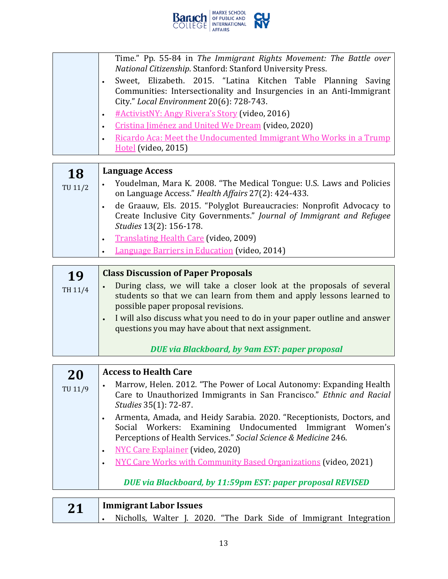

|         | Time." Pp. 55-84 in The Immigrant Rights Movement: The Battle over                                               |  |  |  |  |  |  |  |  |  |  |  |
|---------|------------------------------------------------------------------------------------------------------------------|--|--|--|--|--|--|--|--|--|--|--|
|         | National Citizenship. Stanford: Stanford University Press.                                                       |  |  |  |  |  |  |  |  |  |  |  |
|         | Sweet, Elizabeth. 2015. "Latina Kitchen Table Planning<br>Saving                                                 |  |  |  |  |  |  |  |  |  |  |  |
|         | Communities: Intersectionality and Insurgencies in an Anti-Immigrant<br>City." Local Environment 20(6): 728-743. |  |  |  |  |  |  |  |  |  |  |  |
|         |                                                                                                                  |  |  |  |  |  |  |  |  |  |  |  |
|         | #ActivistNY: Angy Rivera's Story (video, 2016)<br>٠                                                              |  |  |  |  |  |  |  |  |  |  |  |
|         | Cristina Jiménez and United We Dream (video, 2020)                                                               |  |  |  |  |  |  |  |  |  |  |  |
|         | Ricardo Aca: Meet the Undocumented Immigrant Who Works in a Trump                                                |  |  |  |  |  |  |  |  |  |  |  |
|         | $\underline{Hotel}$ (video, 2015)                                                                                |  |  |  |  |  |  |  |  |  |  |  |
|         |                                                                                                                  |  |  |  |  |  |  |  |  |  |  |  |
|         |                                                                                                                  |  |  |  |  |  |  |  |  |  |  |  |
| 18      | Language Access                                                                                                  |  |  |  |  |  |  |  |  |  |  |  |
|         | Youdelman, Mara K. 2008. "The Medical Tongue: U.S. Laws and Policies                                             |  |  |  |  |  |  |  |  |  |  |  |
| TU 11/2 | on Language Access." Health Affairs 27(2): 424-433.                                                              |  |  |  |  |  |  |  |  |  |  |  |

- de Graauw, Els. 2015. "Polyglot Bureaucracies: Nonprofit Advocacy to Create Inclusive City Governments." *Journal of Immigrant and Refugee Studies* 13(2): 156-178.
	- Translating Health Care (video, 2009)
- Language Barriers in Education (video, 2014)

| 19      | <b>Class Discussion of Paper Proposals</b>                                                                                                                                                                                                                                                                             |
|---------|------------------------------------------------------------------------------------------------------------------------------------------------------------------------------------------------------------------------------------------------------------------------------------------------------------------------|
| TH 11/4 | During class, we will take a closer look at the proposals of several<br>students so that we can learn from them and apply lessons learned to<br>possible paper proposal revisions.<br>. I will also discuss what you need to do in your paper outline and answer<br>questions you may have about that next assignment. |
|         | <b>DUE via Blackboard, by 9am EST: paper proposal</b>                                                                                                                                                                                                                                                                  |

| 20      | <b>Access to Health Care</b>                                                                                                                                                                                                                                              |
|---------|---------------------------------------------------------------------------------------------------------------------------------------------------------------------------------------------------------------------------------------------------------------------------|
| TU 11/9 | Marrow, Helen. 2012. "The Power of Local Autonomy: Expanding Health<br>$\bullet$<br>Care to Unauthorized Immigrants in San Francisco." Ethnic and Racial<br>Studies 35(1): 72-87.                                                                                         |
|         | Armenta, Amada, and Heidy Sarabia. 2020. "Receptionists, Doctors, and<br>$\bullet$<br>Social Workers: Examining Undocumented Immigrant Women's<br>Perceptions of Health Services." Social Science & Medicine 246.<br><b>NYC Care Explainer</b> (video, 2020)<br>$\bullet$ |
|         | <b>NYC Care Works with Community Based Organizations (video, 2021)</b><br>$\bullet$                                                                                                                                                                                       |
|         | DUE via Blackboard, by 11:59pm EST: paper proposal REVISED                                                                                                                                                                                                                |
|         | <b>Immigrant Labor Issues</b>                                                                                                                                                                                                                                             |

| 21 | <b>Immigrant Labor Issues</b> |  |  |  |  |  |  |  |  |                                                                   |  |
|----|-------------------------------|--|--|--|--|--|--|--|--|-------------------------------------------------------------------|--|
|    |                               |  |  |  |  |  |  |  |  | Nicholls, Walter J. 2020. "The Dark Side of Immigrant Integration |  |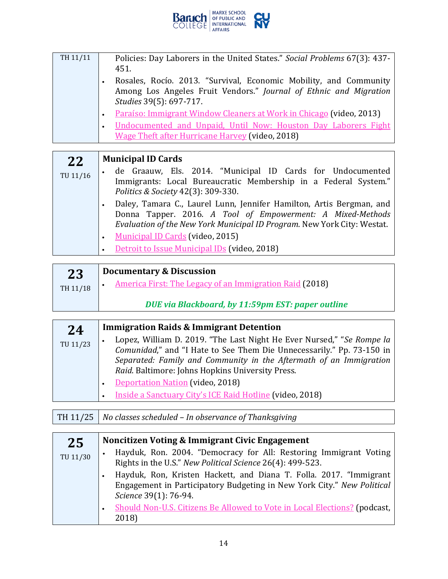

| TH 11/11 | Policies: Day Laborers in the United States." Social Problems 67(3): 437-<br>451.<br>Rosales, Rocío. 2013. "Survival, Economic Mobility, and Community |
|----------|--------------------------------------------------------------------------------------------------------------------------------------------------------|
|          | Among Los Angeles Fruit Vendors." Journal of Ethnic and Migration<br>Studies 39(5): 697-717.                                                           |
|          | Paraíso: Immigrant Window Cleaners at Work in Chicago (video, 2013)                                                                                    |
|          | Undocumented and Unpaid, Until Now: Houston Day Laborers Fight<br><b>Wage Theft after Hurricane Harvey (video, 2018)</b>                               |
|          |                                                                                                                                                        |
|          |                                                                                                                                                        |

| 22       | <b>Municipal ID Cards</b>                                                                                                                                                                                     |
|----------|---------------------------------------------------------------------------------------------------------------------------------------------------------------------------------------------------------------|
| TU 11/16 | de Graauw, Els. 2014. "Municipal ID Cards for Undocumented<br>$\bullet$<br>Immigrants: Local Bureaucratic Membership in a Federal System."<br>Politics & Society 42(3): 309-330.                              |
|          | Daley, Tamara C., Laurel Lunn, Jennifer Hamilton, Artis Bergman, and<br>Donna Tapper. 2016. A Tool of Empowerment: A Mixed-Methods<br>Evaluation of the New York Municipal ID Program. New York City: Westat. |
|          | <b>Municipal ID Cards (video, 2015)</b><br>Detroit to Issue Municipal IDs (video, 2018)                                                                                                                       |

| 23       | <b>Documentary &amp; Discussion</b>                     |
|----------|---------------------------------------------------------|
| TH 11/18 | America First: The Legacy of an Immigration Raid (2018) |
|          | DUE via Blackboard, by 11:59pm EST: paper outline       |

| 24       | <b>Immigration Raids &amp; Immigrant Detention</b>                                                                                                                                                                                                                       |
|----------|--------------------------------------------------------------------------------------------------------------------------------------------------------------------------------------------------------------------------------------------------------------------------|
| TU 11/23 | Lopez, William D. 2019. "The Last Night He Ever Nursed," "Se Rompe la<br>Comunidad," and "I Hate to See Them Die Unnecessarily." Pp. 73-150 in<br>Separated: Family and Community in the Aftermath of an Immigration<br>Raid. Baltimore: Johns Hopkins University Press. |
|          | Deportation Nation (video, 2018)<br>Inside a Sanctuary City's ICE Raid Hotline (video, 2018)                                                                                                                                                                             |

| TH 11/25   No classes scheduled – In observance of Thanksgiving |
|-----------------------------------------------------------------|
|                                                                 |

F

| 25       | Noncitizen Voting & Immigrant Civic Engagement                                                                                                                        |
|----------|-----------------------------------------------------------------------------------------------------------------------------------------------------------------------|
| TU 11/30 | Hayduk, Ron. 2004. "Democracy for All: Restoring Immigrant Voting<br>Rights in the U.S." New Political Science 26(4): 499-523.                                        |
|          | Hayduk, Ron, Kristen Hackett, and Diana T. Folla. 2017. "Immigrant<br>Engagement in Participatory Budgeting in New York City." New Political<br>Science 39(1): 76-94. |
|          | Should Non-U.S. Citizens Be Allowed to Vote in Local Elections? (podcast,<br>2018)                                                                                    |